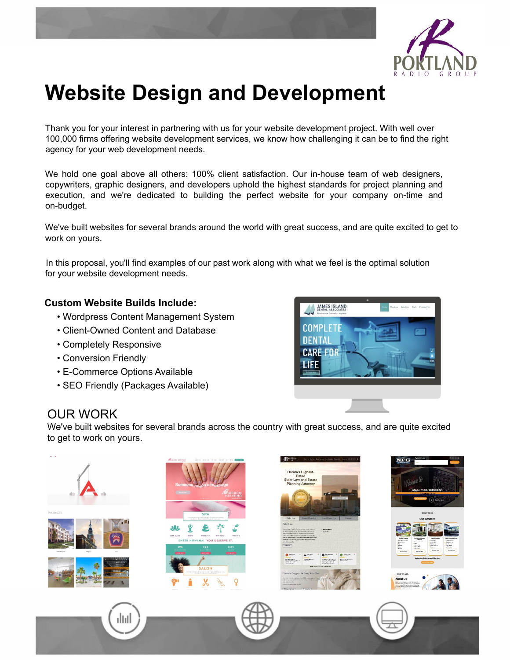

# Website Design and Development

Thank you for your interest in partnering with us for your website development project. With well over 100,000 firms offering website development services, we know how challenging it can be to find the right agency for your web development needs.

We hold one goal above all others: 100% client satisfaction. Our in-house team of web designers, copywriters, graphic designers, and developers uphold the highest standards for project planning and execution, and we're dedicated to building the perfect website for your company on-time and on-budget.

We've built websites for several brands around the world with great success, and are quite excited to get to work on yours.

In this proposal, you'll find examples of our past work along with what we feel is the optimal solution for your website development needs.

#### Custom Website Builds Include:

- Wordpress Content Management System
- Client-Owned Content and Database
- Completely Responsive
- Conversion Friendly
- E-Commerce Options Available
- SEO Friendly (Packages Available)



### OUR WORK

We've built websites for several brands across the country with great success, and are quite excited to get to work on yours.